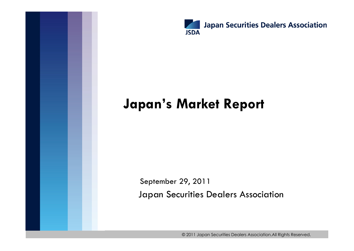

# **Japan's Market Report**

Japan Securities Dealers Association September 29, 2011

© 2011 Japan Securities Dealers Association.All Rights Reserved.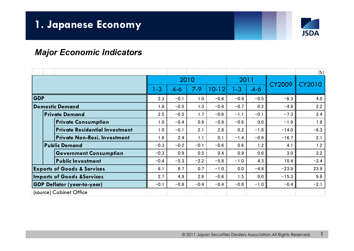

1

### *Major Economic Indicators*

|                                        |                                       |         |        |         |           |        |        |               | $(\%)$        |
|----------------------------------------|---------------------------------------|---------|--------|---------|-----------|--------|--------|---------------|---------------|
|                                        |                                       |         | 2010   |         |           |        | 2011   | <b>CY2009</b> | <b>CY2010</b> |
|                                        |                                       | $1 - 3$ | $4-6$  | $7 - 9$ | $10 - 12$ | $-3$   | $4-6$  |               |               |
| <b>GDP</b>                             |                                       | 2.3     | $-0.1$ | 1.0     | $-0.6$    | $-0.9$ | $-0.5$ | $-6.3$        | 4.0           |
| Domestic Demand                        |                                       | 1.8     | $-0.5$ | 1.3     | $-0.6$    | $-0.7$ | 0.2    | $-4.8$        | 2.2           |
| <b>Private Demand</b>                  |                                       | 2.5     | $-0.5$ | 1.7     | $-0.6$    | $-1.1$ | $-0.1$ | $-7.3$        | 2.4           |
|                                        | <b>Private Consumption</b>            | 1.0     | $-0.4$ | 0.9     | $-0.9$    | $-0.6$ | 0.0    | $-1.9$        | 1.8           |
|                                        | <b>Private Residential Investment</b> | 1.0     | $-0.1$ | 2.1     | 2.8       | 0.2    | $-1.8$ | $-14.0$       | $-6.3$        |
|                                        | <b>Private Non-Resi. Investment</b>   | 1.6     | 2.4    | 1.1     | 0.1       | $-1.4$ | $-0.9$ | $-16.7$       | 2.1           |
| <b>Public Demand</b>                   |                                       | $-0.3$  | $-0.2$ | $-0.1$  | $-0.6$    | 0.6    | 1.2    | 4.1           | 1.2           |
|                                        | <b>Government Consumption</b>         | $-0.3$  | 0.9    | 0.5     | 0.4       | 0.9    | 0.6    | 3.0           | 2.2           |
|                                        | <b>Public Investment</b>              | $-0.4$  | $-5.3$ | $-2.2$  | $-5.8$    | $-1.0$ | 4.3    | 10.4          | $-3.4$        |
| <b>Exports of Goods &amp; Services</b> |                                       | 6.1     | 6.7    | 0.7     | $-1.0$    | 0.0    | $-4.9$ | $-23.9$       | 23.9          |
| <b>Imports of Goods &amp; Services</b> |                                       | 2.7     | 4.9    | 2.6     | $-0.6$    | 1.5    | 0.0    | $-15.3$       | 9.8           |
| <b>GDP Deflator (year-to-year)</b>     |                                       | $-0.1$  | $-0.8$ | $-0.4$  | $-0.4$    | $-0.6$ | $-1.0$ | $-0.4$        | $-2.1$        |
| (source) Cabinet Office                |                                       |         |        |         |           |        |        |               |               |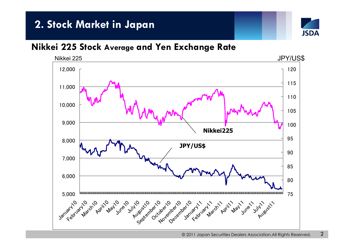# **2. Stock Market in Japan**



## **Nikkei 225 Stock Average and Yen Exchange Rate**

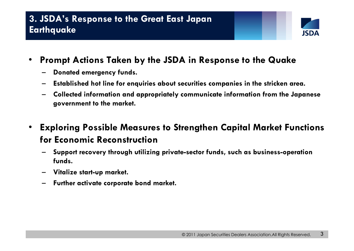

- • **Prompt Actions Taken by the JSDA in Response to the Quake** 
	- –**Donated emergency funds.**
	- **Established hot line for enquiries about securities companies in the stricken area.**
	- **Collected information and appropriately communicate information from the Japanese government to the market.**
- • **Exploring Possible Measures to Strengthen Capital Market Functions for Economic Reconstruction**
	- **Support recovery through utilizing private-sector funds, such as business-operation funds.**
	- **Vitalize start-up market.**
	- –**Further activate corporate bond market.**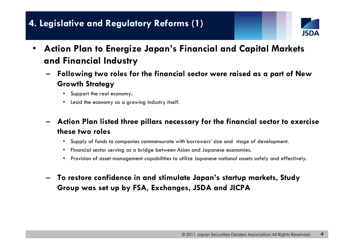# **4. Legislative and Regulatory Reforms (1)**



- • **Action Plan to Energize Japan's Financial and Capital Markets and Financial Industry**
	- **Following two roles for the financial sector were raised as a part of New Growth Strategy** 
		- Support the real economy.
		- Lead the economy as a growing industry itself.
	- **Action Plan listed three pillars necessary for the financial sector to exercise these two roles** 
		- Supply of funds to companies commensurate with borrowers' size and stage of development.
		- Financial sector serving as a bridge between Asian and Japanese economies.
		- Provision of asset management capabilities to utilize Japanese national assets safely and effectively.
	- – **To restore confidence in and stimulate Japan's startup markets, Study Group was set up by FSA, Exchanges, JSDA and JICPA**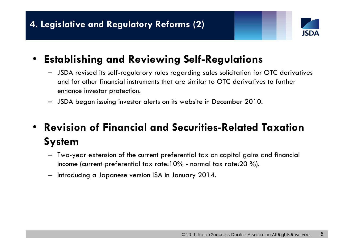

### •**Establishing and Reviewing Self-Regulations**

- – JSDA revised its self-regulatory rules regarding sales solicitation for OTC derivatives and for other financial instruments that are similar to OTC derivatives to further enhance investor protection.
- –JSDA began issuing investor alerts on its website in December 2010.

### • **Revision of Financial and Securities-Related Taxation System**

- Two-year extension of the current preferential tax on capital gains and financial income (current preferential tax rate:10% - normal tax rate:20 %).
- –Introducing a Japanese version ISA in January 2014.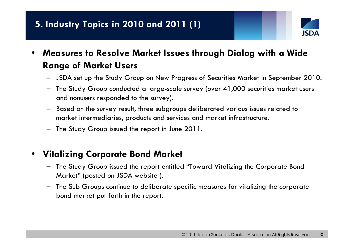

- • **Measures to Resolve Market Issues through Dialog with a Wide Range of Market Users**
	- JSDA set up the Study Group on New Progress of Securities Market in September 2010.
	- The Study Group conducted a large-scale survey (over 41,000 securities market users and nonusers responded to the survey).
	- Based on the survey result, three subgroups deliberated various issues related to market intermediaries, products and services and market infrastructure.
	- –The Study Group issued the report in June 2011.

#### •**Vitalizing Corporate Bond Market**

- The Study Group issued the report entitled "Toward Vitalizing the Corporate Bond Market" (posted on JSDA website ).
- The Sub Groups continue to deliberate specific measures for vitalizing the corporate bond market put forth in the report.